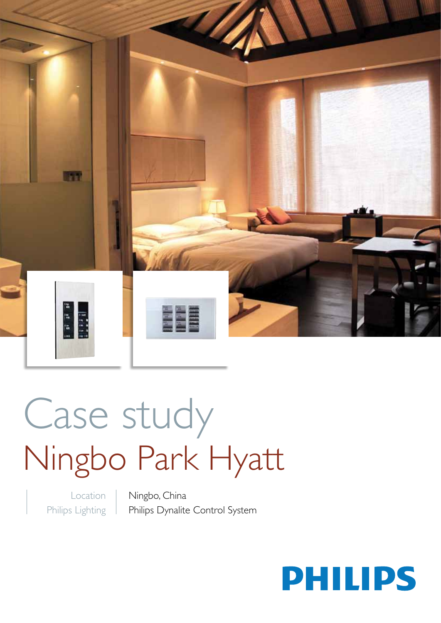

# Case study Ningbo Park Hyatt

Location Philips Lighting Ningbo, China Philips Dynalite Control System

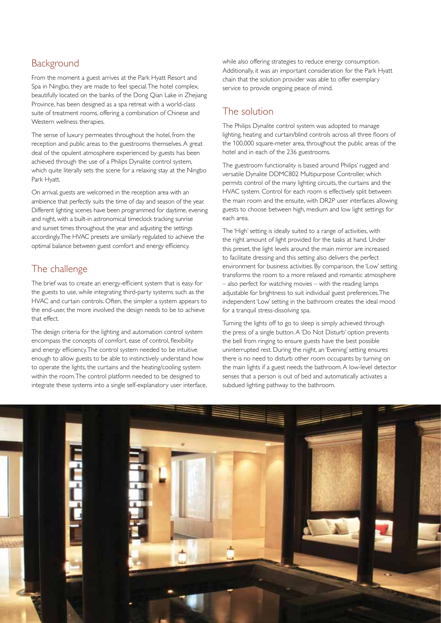#### **Background**

From the moment a guest arrives at the Park Hyatt Resort and Spa in Ningbo, they are made to feel special. The hotel complex, beautifully located on the banks of the Dong Qian Lake in Zhejiang Province, has been designed as a spa retreat with a world-class suite of treatment rooms, offering a combination of Chinese and Western wellness therapies.

The sense of luxury permeates throughout the hotel, from the reception and public areas to the guestrooms themselves. A great deal of the opulent atmosphere experienced by guests has been achieved through the use of a Philips Dynalite control system, which quite literally sets the scene for a relaxing stay at the Ningbo Park Hyatt.

On arrival, guests are welcomed in the reception area with an ambience that perfectly suits the time of day and season of the year. Different lighting scenes have been programmed for daytime, evening and night, with a built-in astronomical timeclock tracking sunrise and sunset times throughout the year and adjusting the settings accordingly. The HVAC presets are similarly regulated to achieve the optimal balance between guest comfort and energy efficiency.

### The challenge

The brief was to create an energy-efficient system that is easy for the guests to use, while integrating third-party systems such as the HVAC and curtain controls. Often, the simpler a system appears to the end-user, the more involved the design needs to be to achieve that effect.

The design criteria for the lighting and automation control system encompass the concepts of comfort, ease of control, flexibility and energy efficiency. The control system needed to be intuitive enough to allow guests to be able to instinctively understand how to operate the lights, the curtains and the heating/cooling system within the room. The control platform needed to be designed to integrate these systems into a single self-explanatory user interface,

while also offering strategies to reduce energy consumption. Additionally, it was an important consideration for the Park Hyatt chain that the solution provider was able to offer exemplary service to provide ongoing peace of mind.

#### The solution

The Philips Dynalite control system was adopted to manage lighting, heating and curtain/blind controls across all three floors of the 100,000 square-meter area, throughout the public areas of the hotel and in each of the 236 guestrooms.

The guestroom functionality is based around Philips' rugged and versatile Dynalite DDMC802 Multipurpose Controller, which permits control of the many lighting circuits, the curtains and the HVAC system. Control for each room is effectively split between the main room and the ensuite, with DR2P user interfaces allowing guests to choose between high, medium and low light settings for each area.

The 'High' setting is ideally suited to a range of activities, with the right amount of light provided for the tasks at hand. Under this preset, the light levels around the main mirror are increased to facilitate dressing and this setting also delivers the perfect environment for business activities. By comparison, the 'Low' setting transforms the room to a more relaxed and romantic atmosphere – also perfect for watching movies – with the reading lamps adjustable for brightness to suit individual guest preferences. The independent 'Low' setting in the bathroom creates the ideal mood for a tranquil stress-dissolving spa.

Turning the lights off to go to sleep is simply achieved through the press of a single button. A 'Do Not Disturb' option prevents the bell from ringing to ensure guests have the best possible uninterrupted rest. During the night, an 'Evening' setting ensures there is no need to disturb other room occupants by turning on the main lights if a guest needs the bathroom. A low-level detector senses that a person is out of bed and automatically activates a subdued lighting pathway to the bathroom.

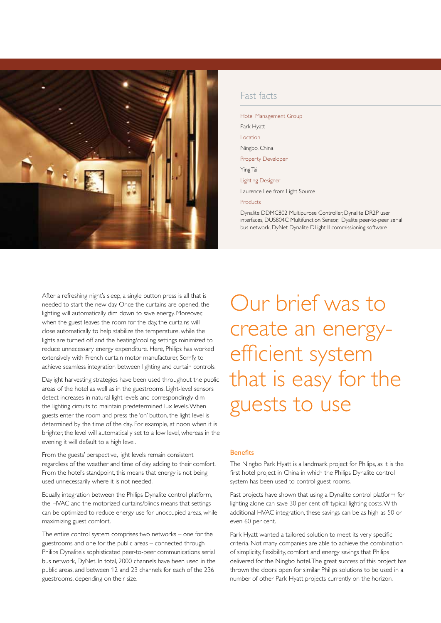

#### Fast facts

Hotel Management Group Park Hyatt Location Ningbo, China Property Developer Ying Tai Lighting Designer Laurence Lee from Light Source

Products

Dynalite DDMC802 Multipurose Controller, Dynalite DR2P user interfaces, DUS804C Multifunction Sensor, Dyalite peer-to-peer serial bus network, DyNet Dynalite DLight II commissioning software

After a refreshing night's sleep, a single button press is all that is needed to start the new day. Once the curtains are opened, the lighting will automatically dim down to save energy. Moreover, when the guest leaves the room for the day, the curtains will close automatically to help stabilize the temperature, while the lights are turned off and the heating/cooling settings minimized to reduce unnecessary energy expenditure. Here, Philips has worked extensively with French curtain motor manufacturer, Somfy, to achieve seamless integration between lighting and curtain controls.

Daylight harvesting strategies have been used throughout the public areas of the hotel as well as in the guestrooms. Light-level sensors detect increases in natural light levels and correspondingly dim the lighting circuits to maintain predetermined lux levels. When guests enter the room and press the 'on' button, the light level is determined by the time of the day. For example, at noon when it is brighter, the level will automatically set to a low level, whereas in the evening it will default to a high level.

From the guests' perspective, light levels remain consistent regardless of the weather and time of day, adding to their comfort. From the hotel's standpoint, this means that energy is not being used unnecessarily where it is not needed.

Equally, integration between the Philips Dynalite control platform, the HVAC and the motorized curtains/blinds means that settings can be optimized to reduce energy use for unoccupied areas, while maximizing guest comfort.

The entire control system comprises two networks – one for the guestrooms and one for the public areas – connected through Philips Dynalite's sophisticated peer-to-peer communications serial bus network, DyNet. In total, 2000 channels have been used in the public areas, and between 12 and 23 channels for each of the 236 guestrooms, depending on their size.

Our brief was to create an energyefficient system that is easy for the guests to use

#### **Benefits**

The Ningbo Park Hyatt is a landmark project for Philips, as it is the first hotel project in China in which the Philips Dynalite control system has been used to control guest rooms.

Past projects have shown that using a Dynalite control platform for lighting alone can save 30 per cent off typical lighting costs. With additional HVAC integration, these savings can be as high as 50 or even 60 per cent.

Park Hyatt wanted a tailored solution to meet its very specific criteria. Not many companies are able to achieve the combination of simplicity, flexibility, comfort and energy savings that Philips delivered for the Ningbo hotel. The great success of this project has thrown the doors open for similar Philips solutions to be used in a number of other Park Hyatt projects currently on the horizon.